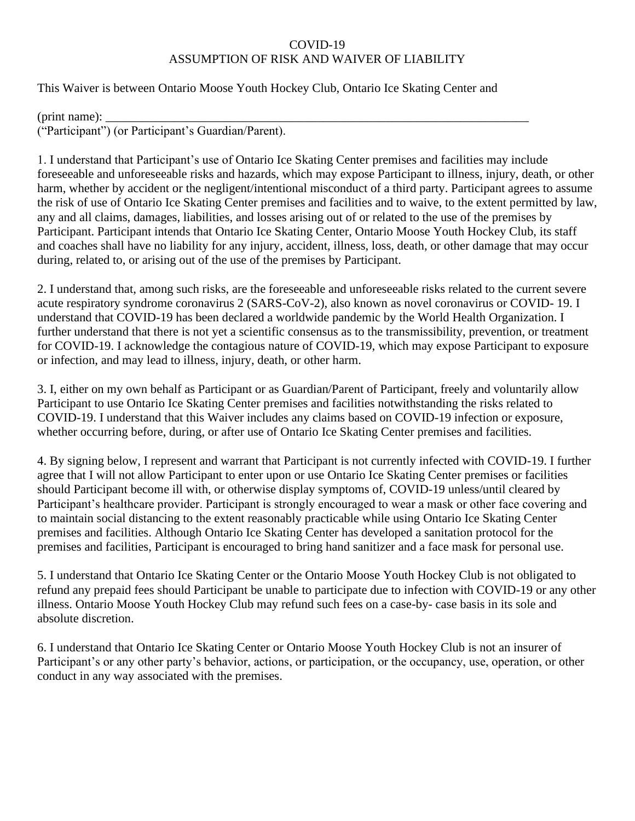## COVID-19 ASSUMPTION OF RISK AND WAIVER OF LIABILITY

This Waiver is between Ontario Moose Youth Hockey Club, Ontario Ice Skating Center and

 $(print \ name)$ : ("Participant") (or Participant's Guardian/Parent).

1. I understand that Participant's use of Ontario Ice Skating Center premises and facilities may include foreseeable and unforeseeable risks and hazards, which may expose Participant to illness, injury, death, or other harm, whether by accident or the negligent/intentional misconduct of a third party. Participant agrees to assume the risk of use of Ontario Ice Skating Center premises and facilities and to waive, to the extent permitted by law, any and all claims, damages, liabilities, and losses arising out of or related to the use of the premises by Participant. Participant intends that Ontario Ice Skating Center, Ontario Moose Youth Hockey Club, its staff and coaches shall have no liability for any injury, accident, illness, loss, death, or other damage that may occur during, related to, or arising out of the use of the premises by Participant.

2. I understand that, among such risks, are the foreseeable and unforeseeable risks related to the current severe acute respiratory syndrome coronavirus 2 (SARS-CoV-2), also known as novel coronavirus or COVID- 19. I understand that COVID-19 has been declared a worldwide pandemic by the World Health Organization. I further understand that there is not yet a scientific consensus as to the transmissibility, prevention, or treatment for COVID-19. I acknowledge the contagious nature of COVID-19, which may expose Participant to exposure or infection, and may lead to illness, injury, death, or other harm.

3. I, either on my own behalf as Participant or as Guardian/Parent of Participant, freely and voluntarily allow Participant to use Ontario Ice Skating Center premises and facilities notwithstanding the risks related to COVID-19. I understand that this Waiver includes any claims based on COVID-19 infection or exposure, whether occurring before, during, or after use of Ontario Ice Skating Center premises and facilities.

4. By signing below, I represent and warrant that Participant is not currently infected with COVID-19. I further agree that I will not allow Participant to enter upon or use Ontario Ice Skating Center premises or facilities should Participant become ill with, or otherwise display symptoms of, COVID-19 unless/until cleared by Participant's healthcare provider. Participant is strongly encouraged to wear a mask or other face covering and to maintain social distancing to the extent reasonably practicable while using Ontario Ice Skating Center premises and facilities. Although Ontario Ice Skating Center has developed a sanitation protocol for the premises and facilities, Participant is encouraged to bring hand sanitizer and a face mask for personal use.

5. I understand that Ontario Ice Skating Center or the Ontario Moose Youth Hockey Club is not obligated to refund any prepaid fees should Participant be unable to participate due to infection with COVID-19 or any other illness. Ontario Moose Youth Hockey Club may refund such fees on a case-by- case basis in its sole and absolute discretion.

6. I understand that Ontario Ice Skating Center or Ontario Moose Youth Hockey Club is not an insurer of Participant's or any other party's behavior, actions, or participation, or the occupancy, use, operation, or other conduct in any way associated with the premises.